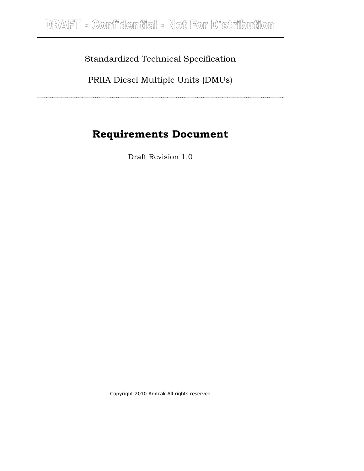### Standardized Technical Specification

PRIIA Diesel Multiple Units (DMUs)

# **Requirements Document**

Draft Revision 1.0

*Copyright 2010 Amtrak All rights reserved*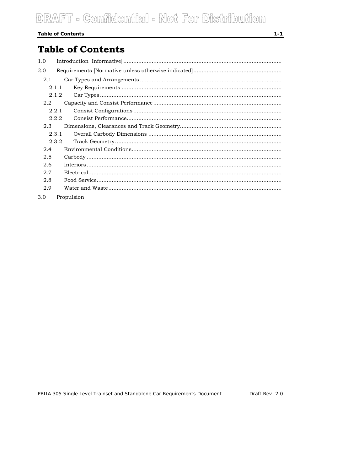# DRAFT - Comfidential - Not For Distribution

#### **Table of Contents**

### **Table of Contents**

| 1.0 |       |            |
|-----|-------|------------|
| 2.0 |       |            |
| 2.1 |       |            |
|     | 2.1.1 |            |
|     | 2.1.2 |            |
|     | 2.2   |            |
|     | 2.2.1 |            |
|     | 2.2.2 |            |
|     | 2.3   |            |
|     | 2.3.1 |            |
|     | 2.3.2 |            |
| 2.4 |       |            |
| 2.5 |       |            |
| 2.6 |       |            |
| 2.7 |       |            |
| 2.8 |       |            |
| 2.9 |       |            |
| 3.0 |       | Propulsion |

Draft Rev. 2.0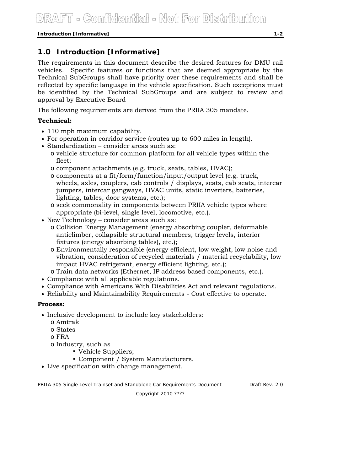*Introduction [Informative] 1-2* 

### **1.0 Introduction [Informative]**

The requirements in this document describe the desired features for DMU rail vehicles. Specific features or functions that are deemed appropriate by the Technical SubGroups shall have priority over these requirements and shall be reflected by specific language in the vehicle specification. Such exceptions must be identified by the Technical SubGroups and are subject to review and approval by Executive Board

The following requirements are derived from the PRIIA 305 mandate.

#### **Technical:**

- 110 mph maximum capability.
- For operation in corridor service (routes up to 600 miles in length).
- Standardization consider areas such as:
	- o vehicle structure for common platform for all vehicle types within the fleet;
	- o component attachments (e.g. truck, seats, tables, HVAC);
	- o components at a fit/form/function/input/output level (e.g. truck, wheels, axles, couplers, cab controls / displays, seats, cab seats, intercar jumpers, intercar gangways, HVAC units, static inverters, batteries, lighting, tables, door systems, etc.);
	- o seek commonality in components between PRIIA vehicle types where appropriate (bi-level, single level, locomotive, etc.).
- New Technology consider areas such as:
	- o Collision Energy Management (energy absorbing coupler, deformable anticlimber, collapsible structural members, trigger levels, interior fixtures (energy absorbing tables), etc.);
	- o Environmentally responsible (energy efficient, low weight, low noise and vibration, consideration of recycled materials / material recyclability, low impact HVAC refrigerant, energy efficient lighting, etc.);
	- o Train data networks (Ethernet, IP address based components, etc.).
- Compliance with all applicable regulations.
- Compliance with Americans With Disabilities Act and relevant regulations.
- Reliability and Maintainability Requirements Cost effective to operate.

#### **Process:**

- Inclusive development to include key stakeholders:
	- o Amtrak
	- o States
	- o FRA
	- o Industry, such as
		- Vehicle Suppliers;
		- Component / System Manufacturers.
- Live specification with change management.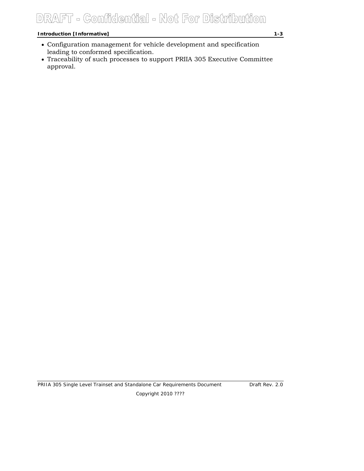## DRAFT - Confidential - Not For Distribution

#### *Introduction [Informative] 1-3*

- Configuration management for vehicle development and specification leading to conformed specification.
- Traceability of such processes to support PRIIA 305 Executive Committee approval.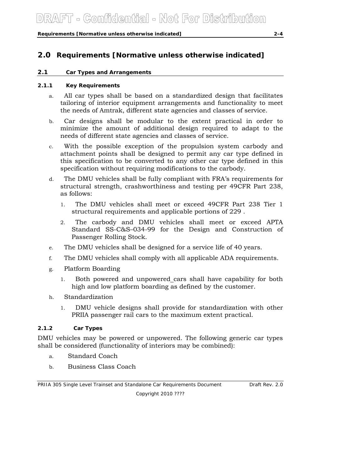*Requirements [Normative unless otherwise indicated] 2-4* 

### **2.0 Requirements [Normative unless otherwise indicated]**

#### **2.1 Car Types and Arrangements**

#### **2.1.1 Key Requirements**

- a. All car types shall be based on a standardized design that facilitates tailoring of interior equipment arrangements and functionality to meet the needs of Amtrak, different state agencies and classes of service.
- b. Car designs shall be modular to the extent practical in order to minimize the amount of additional design required to adapt to the needs of different state agencies and classes of service.
- c. With the possible exception of the propulsion system carbody and attachment points shall be designed to permit any car type defined in this specification to be converted to any other car type defined in this specification without requiring modifications to the carbody.
- d. The DMU vehicles shall be fully compliant with FRA's requirements for structural strength, crashworthiness and testing per 49CFR Part 238, as follows:
	- 1. The DMU vehicles shall meet or exceed 49CFR Part 238 Tier 1 structural requirements and applicable portions of 229 .
	- 2. The carbody and DMU vehicles shall meet or exceed APTA Standard SS-C&S–034-99 for the Design and Construction of Passenger Rolling Stock.
- e. The DMU vehicles shall be designed for a service life of 40 years.
- f. The DMU vehicles shall comply with all applicable ADA requirements.
- g. Platform Boarding
	- 1. Both powered and unpowered cars shall have capability for both high and low platform boarding as defined by the customer.
- h. Standardization
	- 1. DMU vehicle designs shall provide for standardization with other PRIIA passenger rail cars to the maximum extent practical.

#### **2.1.2 Car Types**

DMU vehicles may be powered or unpowered. The following generic car types shall be considered (functionality of interiors may be combined):

- a. Standard Coach
- b. Business Class Coach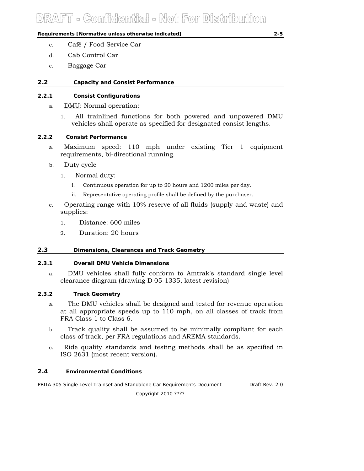*Requirements [Normative unless otherwise indicated] 2-5* 

- d. Cab Control Car
- e. Baggage Car

#### **2.2 Capacity and Consist Performance**

#### **2.2.1 Consist Configurations**

- a. DMU: Normal operation:
	- 1. All trainlined functions for both powered and unpowered DMU vehicles shall operate as specified for designated consist lengths.

#### **2.2.2 Consist Performance**

- a. Maximum speed: 110 mph under existing Tier 1 equipment requirements, bi-directional running.
- b. Duty cycle
	- 1. Normal duty:
		- i. Continuous operation for up to 20 hours and 1200 miles per day.
		- ii. Representative operating profile shall be defined by the purchaser.
- c. Operating range with 10% reserve of all fluids (supply and waste) and supplies:
	- 1. Distance: 600 miles
	- 2. Duration: 20 hours

#### **2.3 Dimensions, Clearances and Track Geometry**

#### **2.3.1 Overall DMU Vehicle Dimensions**

a. DMU vehicles shall fully conform to Amtrak's standard single level clearance diagram (drawing D 05-1335, latest revision)

#### **2.3.2 Track Geometry**

- a. The DMU vehicles shall be designed and tested for revenue operation at all appropriate speeds up to 110 mph, on all classes of track from FRA Class 1 to Class 6.
- b. Track quality shall be assumed to be minimally compliant for each class of track, per FRA regulations and AREMA standards.
- c. Ride quality standards and testing methods shall be as specified in ISO 2631 (most recent version).

#### **2.4 Environmental Conditions**

*PRIIA 305 Single Level Trainset and Standalone Car Requirements Document Draft Rev. 2.0 Copyright 2010 ????*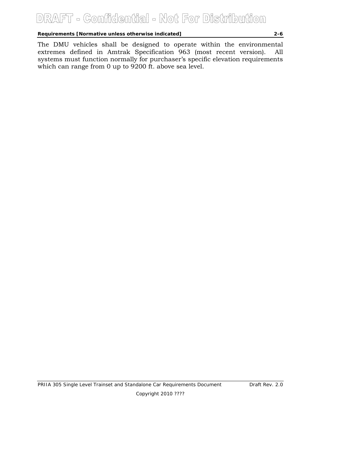### DRAFT - Comfidential - Not For Distribution

*Requirements [Normative unless otherwise indicated] 2-6* 

The DMU vehicles shall be designed to operate within the environmental extremes defined in Amtrak Specification 963 (most recent version). All systems must function normally for purchaser's specific elevation requirements which can range from 0 up to 9200 ft. above sea level.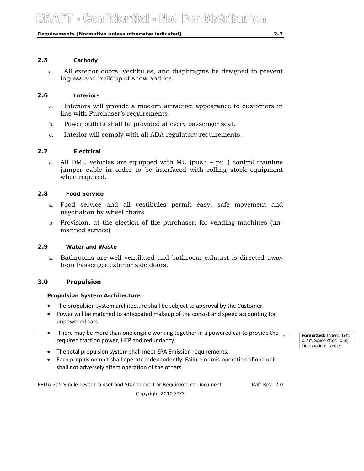#### *Requirements [Normative unless otherwise indicated] 2-7*

#### **2.5 Carbody**

a. All exterior doors, vestibules, and diaphragms be designed to prevent ingress and buildup of snow and ice.

#### **2.6 Interiors**

- a. Interiors will provide a modern attractive appearance to customers in line with Purchaser's requirements.
- b. Power outlets shall be provided at every passenger seat.
- c. Interior will comply with all ADA regulatory requirements.

#### **2.7 Electrical**

a. All DMU vehicles are equipped with MU (push – pull) control trainline jumper cable in order to be interfaced with rolling stock equipment when required.

#### **2.8 Food Service**

- a. Food service and all vestibules permit easy, safe movement and negotiation by wheel chairs.
- b. Provision, at the election of the purchaser, for vending machines (unmanned service)

#### **2.9 Water and Waste**

a. Bathrooms are well ventilated and bathroom exhaust is directed away from Passenger exterior side doors.

#### **3.0 Propulsion**

#### **Propulsion System Architecture**

- The propulsion system architecture shall be subject to approval by the Customer.
- Power will be matched to anticipated makeup of the consist and speed accounting for unpowered cars.
- There may be more than one engine working together in a powered car to provide the required traction power, HEP and redundancy.
- The total propulsion system shall meet EPA Emission requirements.
- Each propulsion unit shall operate independently. Failure or mis‐operation of one unit shall not adversely affect operation of the others.

*PRIIA 305 Single Level Trainset and Standalone Car Requirements Document Draft Rev. 2.0 Copyright 2010 ????* 

**Formatted:** Indent: Left: 0.25", Space After: 0 pt, Line spacing: single